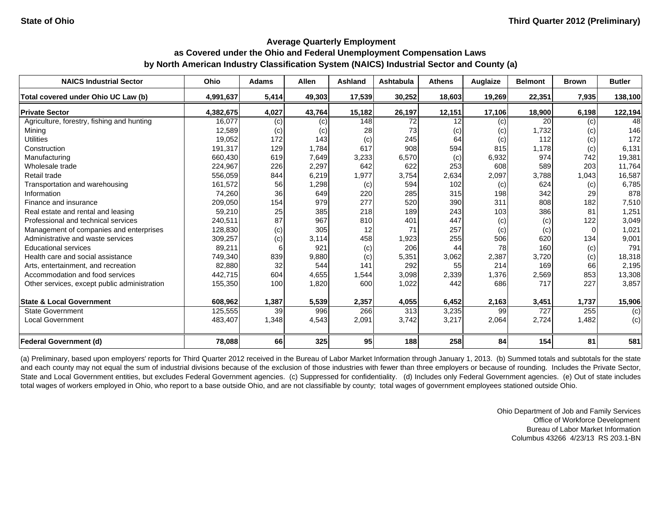| <b>NAICS Industrial Sector</b>               | <b>Ohio</b> | <b>Adams</b> | <b>Allen</b>      | <b>Ashland</b> | <b>Ashtabula</b> | <b>Athens</b> | Auglaize | <b>Belmont</b> | <b>Brown</b> | <b>Butler</b> |
|----------------------------------------------|-------------|--------------|-------------------|----------------|------------------|---------------|----------|----------------|--------------|---------------|
| Total covered under Ohio UC Law (b)          | 4,991,637   | 5,414        | 49,303            | 17,539         | 30,252           | 18,603        | 19,269   | 22,351         | 7,935        | 138,100       |
| <b>Private Sector</b>                        | 4,382,675   | 4,027        | 43,764            | 15,182         | 26,197           | 12,151        | 17,106   | 18,900         | 6,198        | 122,194       |
| Agriculture, forestry, fishing and hunting   | 16,077      | (c)          | (c)               | 148            | 72               | 12            | (c)      | 20             | (c)          | 48            |
| Mining                                       | 12,589      | (c)          | $\left( c\right)$ | 28             | 73               | (c)           | (c)      | 1,732          | (c)          | 146           |
| <b>Utilities</b>                             | 19,052      | 172          | 143               | (c)            | 245              | 64            | (c)      | 112            | (c)          | 172           |
| Construction                                 | 191,317     | 129          | 1,784             | 617            | 908              | 594           | 815      | 1,178          | (c)          | 6,131         |
| Manufacturing                                | 660,430     | 619          | 7,649             | 3,233          | 6,570            | (c)           | 6,932    | 974            | 742          | 19,381        |
| Wholesale trade                              | 224,967     | 226          | 2,297             | 642            | 622              | 253           | 608      | 589            | 203          | 11,764        |
| Retail trade                                 | 556,059     | 844          | 6,219             | 1,977          | 3,754            | 2,634         | 2,097    | 3,788          | 1,043        | 16,587        |
| Transportation and warehousing               | 161,572     | 56           | 1,298             | (c)            | 594              | 102           | (c)      | 624            | (c)          | 6,785         |
| Information                                  | 74,260      | 36           | 649               | 220            | 285              | 315           | 198      | 342            | 29           | 878           |
| Finance and insurance                        | 209,050     | 154          | 979               | 277            | 520              | 390           | 311      | 808            | 182          | 7,510         |
| Real estate and rental and leasing           | 59,210      | 25           | 385               | 218            | 189              | 243           | 103      | 386            | 81           | 1,251         |
| Professional and technical services          | 240,511     | 87           | 967               | 810            | 401              | 447           | (c)      | (c)            | 122          | 3,049         |
| Management of companies and enterprises      | 128,830     | (c)          | 305               | 12             | 71               | 257           | (c)      | (c)            | $\Omega$     | 1,021         |
| Administrative and waste services            | 309,257     | (c)          | 3,114             | 458            | 1,923            | 255           | 506      | 620            | 134          | 9,001         |
| <b>Educational services</b>                  | 89,211      |              | 921               | (c)            | 206              | 44            | 78       | 160            | (c)          | 791           |
| Health care and social assistance            | 749,340     | 839          | 9,880             | (c)            | 5,351            | 3,062         | 2,387    | 3,720          | (c)          | 18,318        |
| Arts, entertainment, and recreation          | 82,880      | 32           | 544               | 141            | 292              | 55            | 214      | 169            | 66           | 2,195         |
| Accommodation and food services              | 442,715     | 604          | 4,655             | 1,544          | 3,098            | 2,339         | 1,376    | 2,569          | 853          | 13,308        |
| Other services, except public administration | 155,350     | 100          | 1,820             | 600            | 1,022            | 442           | 686      | 717            | 227          | 3,857         |
| <b>State &amp; Local Government</b>          | 608,962     | 1,387        | 5,539             | 2,357          | 4,055            | 6,452         | 2,163    | 3,451          | 1,737        | 15,906        |
| <b>State Government</b>                      | 125,555     | 39           | 996               | 266            | 313              | 3,235         | 99       | 727            | 255          | (c)           |
| <b>Local Government</b>                      | 483,407     | 1,348        | 4,543             | 2,091          | 3,742            | 3,217         | 2,064    | 2,724          | 1,482        | (c)           |
| Federal Government (d)                       | 78,088      | 66           | 325               | 95             | 188              | 258           | 84       | 154            | 81           | 581           |

(a) Preliminary, based upon employers' reports for Third Quarter 2012 received in the Bureau of Labor Market Information through January 1, 2013. (b) Summed totals and subtotals for the state and each county may not equal the sum of industrial divisions because of the exclusion of those industries with fewer than three employers or because of rounding. Includes the Private Sector, State and Local Government entities, but excludes Federal Government agencies. (c) Suppressed for confidentiality. (d) Includes only Federal Government agencies. (e) Out of state includes total wages of workers employed in Ohio, who report to a base outside Ohio, and are not classifiable by county; total wages of government employees stationed outside Ohio.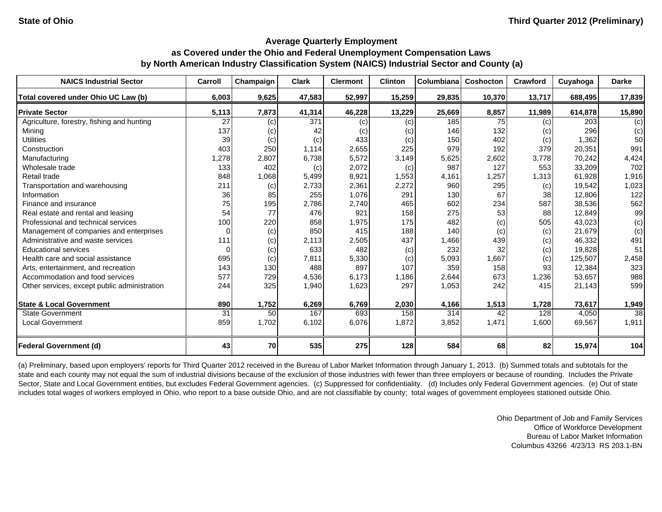| <b>NAICS Industrial Sector</b>               | Carroll  | Champaign | <b>Clark</b> | <b>Clermont</b> | <b>Clinton</b> | Columbiana | <b>Coshocton</b> | <b>Crawford</b> | Cuyahoga | <b>Darke</b> |
|----------------------------------------------|----------|-----------|--------------|-----------------|----------------|------------|------------------|-----------------|----------|--------------|
| Total covered under Ohio UC Law (b)          | 6,003    | 9,625     | 47,583       | 52,997          | 15,259         | 29,835     | 10,370           | 13,717          | 688,495  | 17,839       |
| <b>Private Sector</b>                        | 5,113    | 7,873     | 41,314       | 46,228          | 13,229         | 25,669     | 8,857            | 11.989          | 614.878  | 15,890       |
| Agriculture, forestry, fishing and hunting   | 27       | (c)       | 371          | (c)             | (c)            | 185        | 75               | (c)             | 203      | (c)          |
| Mining                                       | 137      | (c)       | 42           | (C)             | (c)            | 146        | 132              | (c)             | 296      | (c)          |
| <b>Utilities</b>                             | 39       | (c)       | (c)          | 433             | (c)            | 150        | 402              | (c)             | 1,362    | 50           |
| Construction                                 | 403      | 250       | 1,114        | 2,655           | 225            | 979        | 192              | 379             | 20,351   | 991          |
| Manufacturing                                | 1,278    | 2,807     | 6,738        | 5,572           | 3,149          | 5,625      | 2,602            | 3.778           | 70.242   | 4,424        |
| Wholesale trade                              | 133      | 402       | (c)          | 2,072           | (c)            | 987        | 127              | 553             | 33,209   | 702          |
| Retail trade                                 | 848      | 1,068     | 5,499        | 8,921           | 1,553          | 4,161      | 1,257            | 1,313           | 61,928   | 1,916        |
| Transportation and warehousing               | 211      | (c)       | 2,733        | 2,361           | 2,272          | 960        | 295              | (c)             | 19,542   | 1,023        |
| Information                                  | 36       | 85        | 255          | 1,076           | 291            | 130        | 67               | 38              | 12,806   | 122          |
| Finance and insurance                        | 75       | 195       | 2,786        | 2,740           | 465            | 602        | 234              | 587             | 38,536   | 562          |
| Real estate and rental and leasing           | 54       | 77        | 476          | 921             | 158            | 275        | 53               | 88              | 12,849   | 99           |
| Professional and technical services          | 100      | 220       | 858          | 1,975           | 175            | 482        | (c)              | 505             | 43,023   | (c)          |
| Management of companies and enterprises      |          | (c)       | 850          | 415             | 188            | 140        | (c)              | (c)             | 21,679   | (c)          |
| Administrative and waste services            | 111      | (c)       | 2,113        | 2,505           | 437            | 1,466      | 439              | (c)             | 46,332   | 491          |
| <b>Educational services</b>                  | $\Omega$ | (c)       | 633          | 482             | (c)            | 232        | 32               | (c)             | 19,828   | 51           |
| Health care and social assistance            | 695      | (c)       | 7,811        | 5,330           | (c)            | 5,093      | 1,667            | (c)             | 125,507  | 2,458        |
| Arts, entertainment, and recreation          | 143      | 130       | 488          | 897             | 107            | 359        | 158              | 93              | 12,384   | 323          |
| Accommodation and food services              | 577      | 729       | 4,536        | 6,173           | 1,186          | 2,644      | 673              | 1,236           | 53,657   | 988          |
| Other services, except public administration | 244      | 325       | 1,940        | 1,623           | 297            | 1,053      | 242              | 415             | 21,143   | 599          |
| <b>State &amp; Local Government</b>          | 890      | 1,752     | 6,269        | 6,769           | 2,030          | 4,166      | 1,513            | 1,728           | 73,617   | 1,949        |
| <b>State Government</b>                      | 31       | 50        | 167          | 693             | 158            | 314        | 42               | 128             | 4,050    | 38           |
| <b>Local Government</b>                      | 859      | 1,702     | 6,102        | 6,076           | 1,872          | 3,852      | 1,471            | 1,600           | 69,567   | 1,911        |
| <b>Federal Government (d)</b>                | 43       | 70        | 535          | 275             | 128            | 584        | 68               | 82              | 15,974   | 104          |

(a) Preliminary, based upon employers' reports for Third Quarter 2012 received in the Bureau of Labor Market Information through January 1, 2013. (b) Summed totals and subtotals for the state and each county may not equal the sum of industrial divisions because of the exclusion of those industries with fewer than three employers or because of rounding. Includes the Private Sector, State and Local Government entities, but excludes Federal Government agencies. (c) Suppressed for confidentiality. (d) Includes only Federal Government agencies. (e) Out of state includes total wages of workers employed in Ohio, who report to a base outside Ohio, and are not classifiable by county; total wages of government employees stationed outside Ohio.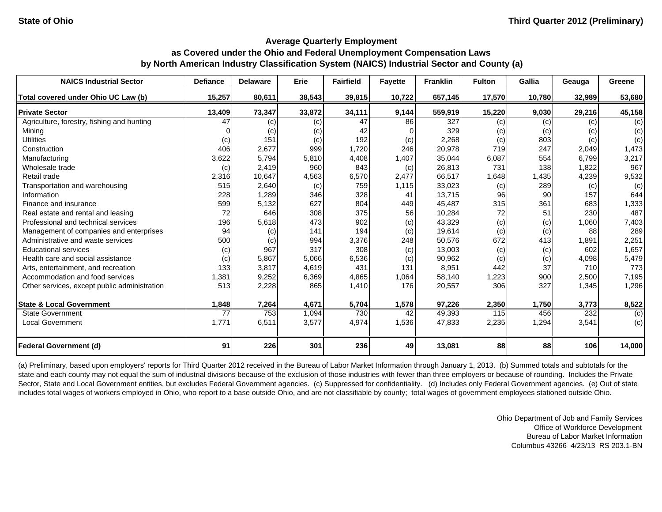| <b>NAICS Industrial Sector</b>               | <b>Defiance</b> | <b>Delaware</b> | Erie   | <b>Fairfield</b> | <b>Fayette</b> | <b>Franklin</b> | <b>Fulton</b> | Gallia | Geauga | Greene |
|----------------------------------------------|-----------------|-----------------|--------|------------------|----------------|-----------------|---------------|--------|--------|--------|
| Total covered under Ohio UC Law (b)          | 15,257          | 80,611          | 38,543 | 39,815           | 10,722         | 657,145         | 17,570        | 10,780 | 32,989 | 53,680 |
| <b>Private Sector</b>                        | 13,409          | 73,347          | 33,872 | 34,111           | 9,144          | 559,919         | 15,220        | 9,030  | 29,216 | 45,158 |
| Agriculture, forestry, fishing and hunting   | 47              | (c)             | (c)    | 47               | 86             | 327             | (c)           | (c)    | (c)    | (c)    |
| Mining                                       |                 | (c)             | (c)    | 42               | $\Omega$       | 329             | (c)           | (c)    | (c)    | (c)    |
| <b>Utilities</b>                             | (c)             | 151             | (c)    | 192              | (c)            | 2,268           | (c)           | 803    | (c)    | (c)    |
| Construction                                 | 406             | 2,677           | 999    | 1,720            | 246            | 20,978          | 719           | 247    | 2,049  | 1,473  |
| Manufacturing                                | 3,622           | 5,794           | 5,810  | 4,408            | 1,407          | 35,044          | 6,087         | 554    | 6,799  | 3,217  |
| Wholesale trade                              | (c)             | 2.419           | 960    | 843              | (c)            | 26,813          | 731           | 138    | 1,822  | 967    |
| Retail trade                                 | 2,316           | 10,647          | 4,563  | 6,570            | 2,477          | 66,517          | 1,648         | 1,435  | 4,239  | 9,532  |
| Transportation and warehousing               | 515             | 2,640           | (c)    | 759              | 1,115          | 33,023          | (c)           | 289    | (c)    | (c)    |
| Information                                  | 228             | 1,289           | 346    | 328              | 41             | 13,715          | 96            | 90     | 157    | 644    |
| Finance and insurance                        | 599             | 5,132           | 627    | 804              | 449            | 45,487          | 315           | 361    | 683    | 1,333  |
| Real estate and rental and leasing           | 72              | 646             | 308    | 375              | 56             | 10,284          | 72            | 51     | 230    | 487    |
| Professional and technical services          | 196             | 5,618           | 473    | 902              | (c)            | 43,329          | (c)           | (c)    | 1,060  | 7,403  |
| Management of companies and enterprises      | 94              | (c)             | 141    | 194              | (c)            | 19,614          | (c)           | (c)    | 88     | 289    |
| Administrative and waste services            | 500             | (c)             | 994    | 3,376            | 248            | 50,576          | 672           | 413    | 1,891  | 2,251  |
| <b>Educational services</b>                  | (c)             | 967             | 317    | 308              | (c)            | 13,003          | (c)           | (c)    | 602    | 1,657  |
| Health care and social assistance            | (c)             | 5,867           | 5,066  | 6,536            | (c)            | 90,962          | (c)           | (c)    | 4,098  | 5,479  |
| Arts, entertainment, and recreation          | 33              | 3,817           | 4,619  | 431              | 131            | 8,951           | 442           | 37     | 710    | 773    |
| Accommodation and food services              | 1,381           | 9,252           | 6,369  | 4,865            | 1,064          | 58,140          | 1,223         | 900    | 2,500  | 7,195  |
| Other services, except public administration | 513             | 2,228           | 865    | 1,410            | 176            | 20,557          | 306           | 327    | 1,345  | 1,296  |
| <b>State &amp; Local Government</b>          | 1,848           | 7,264           | 4,671  | 5,704            | 1,578          | 97,226          | 2,350         | 1,750  | 3,773  | 8,522  |
| State Government                             | 77              | 753             | 1,094  | 730              | 42             | 49,393          | 115           | 456    | 232    | (c)    |
| <b>Local Government</b>                      | 1,771           | 6,511           | 3,577  | 4,974            | 1,536          | 47,833          | 2,235         | 1,294  | 3,541  | (c)    |
| <b>Federal Government (d)</b>                | 91              | 226             | 301    | 236              | 49             | 13,081          | 88            | 88     | 106    | 14,000 |

(a) Preliminary, based upon employers' reports for Third Quarter 2012 received in the Bureau of Labor Market Information through January 1, 2013. (b) Summed totals and subtotals for the state and each county may not equal the sum of industrial divisions because of the exclusion of those industries with fewer than three employers or because of rounding. Includes the Private Sector, State and Local Government entities, but excludes Federal Government agencies. (c) Suppressed for confidentiality. (d) Includes only Federal Government agencies. (e) Out of state includes total wages of workers employed in Ohio, who report to a base outside Ohio, and are not classifiable by county; total wages of government employees stationed outside Ohio.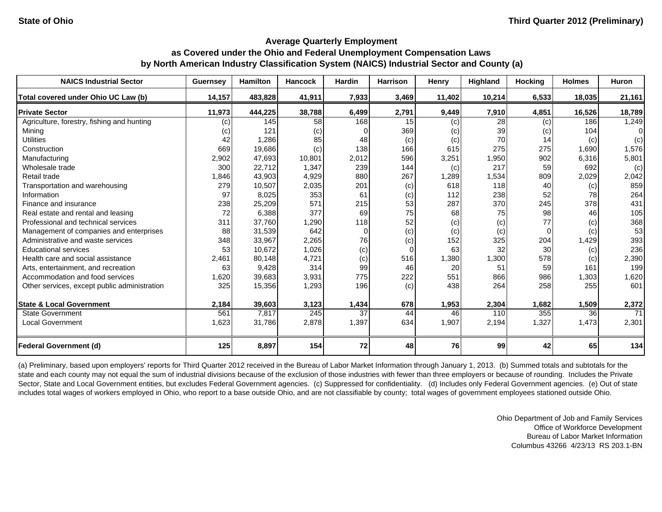| <b>NAICS Industrial Sector</b>               | Guernsey | <b>Hamilton</b> | <b>Hancock</b>   | <b>Hardin</b> | <b>Harrison</b> | Henry  | <b>Highland</b> | <b>Hocking</b> | <b>Holmes</b> | <b>Huron</b> |
|----------------------------------------------|----------|-----------------|------------------|---------------|-----------------|--------|-----------------|----------------|---------------|--------------|
| Total covered under Ohio UC Law (b)          | 14,157   | 483.828         | 41,911           | 7,933         | 3,469           | 11.402 | 10,214          | 6,533          | 18.035        | 21,161       |
| <b>Private Sector</b>                        | 11,973   | 444,225         | 38,788           | 6,499         | 2,791           | 9,449  | 7,910           | 4,851          | 16,526        | 18,789       |
| Agriculture, forestry, fishing and hunting   | (c)      | 145             | 58               | 168           | 15              | (c)    | 28              | (c)            | 186           | 1,249        |
| Minina                                       | (c)      | 121             | (c)              |               | 369             | (c)    | 39              | (c)            | 104           |              |
| <b>Utilities</b>                             | 42       | 1,286           | 85               | 48            | (c)             | (c)    | 70              | 14             | (c)           | (c)          |
| Construction                                 | 669      | 19,686          | (c)              | 138           | 166             | 615    | 275             | 275            | 1,690         | 1,576        |
| Manufacturing                                | 2,902    | 47.693          | 10,801           | 2,012         | 596             | 3,251  | 1,950           | 902            | 6,316         | 5,801        |
| Wholesale trade                              | 300      | 22,712          | 1,347            | 239           | 144             | (c)    | 217             | 59             | 692           | (c)          |
| Retail trade                                 | 1,846    | 43,903          | 4,929            | 880           | 267             | 1,289  | 1,534           | 809            | 2,029         | 2,042        |
| Transportation and warehousing               | 279      | 10,507          | 2,035            | 201           | (c)             | 618    | 118             | 40             | (c)           | 859          |
| Information                                  | 97       | 8,025           | 353              | 61            | (c)             | 112    | 238             | 52             | 78            | 264          |
| Finance and insurance                        | 238      | 25,209          | 571              | 215           | 53              | 287    | 370             | 245            | 378           | 431          |
| Real estate and rental and leasing           | 72       | 6,388           | 377              | 69            | 75              | 68     | 75              | 98             | 46            | 105          |
| Professional and technical services          | 311      | 37.760          | 1,290            | 118           | 52              | (c)    | (c)             | 77             | (c)           | 368          |
| Management of companies and enterprises      | 88       | 31,539          | 642              | 0             | (c)             | (c)    | (c)             |                | (c)           | 53           |
| Administrative and waste services            | 348      | 33,967          | 2,265            | 76            | (c)             | 152    | 325             | 204            | 1,429         | 393          |
| <b>Educational services</b>                  | 53       | 10,672          | 1,026            | (c)           | $\mathbf 0$     | 63     | 32              | 30             | (c)           | 236          |
| Health care and social assistance            | 2,461    | 80,148          | 4,721            | (c)           | 516             | 1,380  | 1,300           | 578            | (c)           | 2,390        |
| Arts, entertainment, and recreation          | 63       | 9,428           | 314              | 99            | 46              | 20     | 51              | 59             | 161           | 199          |
| Accommodation and food services              | 1,620    | 39,683          | 3,931            | 775           | 222             | 551    | 866             | 986            | 1,303         | 1,620        |
| Other services, except public administration | 325      | 15,356          | 1,293            | 196           | (c)             | 438    | 264             | 258            | 255           | 601          |
| <b>State &amp; Local Government</b>          | 2,184    | 39,603          | 3,123            | 1,434         | 678             | 1,953  | 2,304           | 1,682          | 1,509         | 2,372        |
| <b>State Government</b>                      | 561      | 7,817           | $\overline{245}$ | 37            | 44              | 46     | 110             | 355            | 36            | 71           |
| <b>Local Government</b>                      | 1,623    | 31,786          | 2,878            | 1,397         | 634             | 1,907  | 2,194           | 1,327          | 1,473         | 2,301        |
| <b>Federal Government (d)</b>                | 125      | 8,897           | 154              | 72            | 48              | 76     | 99              | 42             | 65            | 134          |

(a) Preliminary, based upon employers' reports for Third Quarter 2012 received in the Bureau of Labor Market Information through January 1, 2013. (b) Summed totals and subtotals for the state and each county may not equal the sum of industrial divisions because of the exclusion of those industries with fewer than three employers or because of rounding. Includes the Private Sector, State and Local Government entities, but excludes Federal Government agencies. (c) Suppressed for confidentiality. (d) Includes only Federal Government agencies. (e) Out of state includes total wages of workers employed in Ohio, who report to a base outside Ohio, and are not classifiable by county; total wages of government employees stationed outside Ohio.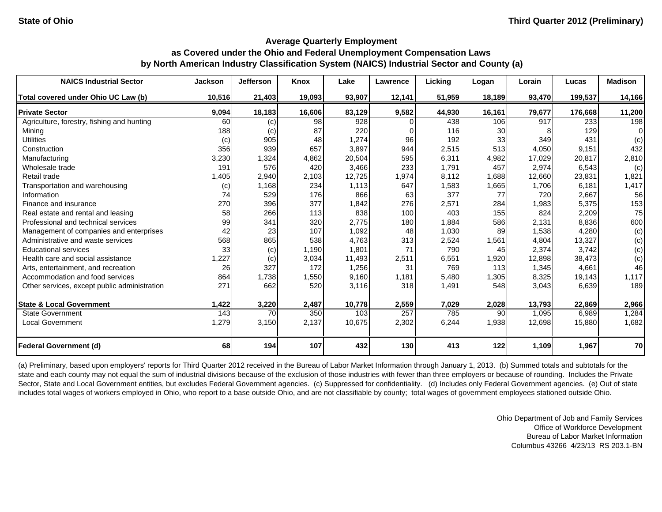| <b>NAICS Industrial Sector</b>               | <b>Jackson</b> | <b>Jefferson</b> | Knox   | Lake   | Lawrence | Licking | Logan  | Lorain | Lucas   | <b>Madison</b> |
|----------------------------------------------|----------------|------------------|--------|--------|----------|---------|--------|--------|---------|----------------|
| Total covered under Ohio UC Law (b)          | 10,516         | 21,403           | 19,093 | 93,907 | 12,141   | 51,959  | 18,189 | 93,470 | 199,537 | 14,166         |
| <b>Private Sector</b>                        | 9,094          | 18,183           | 16,606 | 83,129 | 9,582    | 44,930  | 16,161 | 79,677 | 176.668 | 11,200         |
| Agriculture, forestry, fishing and hunting   | 60             | (c)              | 98     | 928    | $\Omega$ | 438     | 106    | 917    | 233     | 198            |
| Mining                                       | 188            | (c)              | 87     | 220    | 0        | 116     | 30     |        | 129     | 0              |
| <b>Utilities</b>                             | (c)            | 905              | 48     | 1,274  | 96       | 192     | 33     | 349    | 431     | (c)            |
| Construction                                 | 356            | 939              | 657    | 3,897  | 944      | 2,515   | 513    | 4,050  | 9,151   | 432            |
| Manufacturing                                | 3,230          | 1,324            | 4,862  | 20,504 | 595      | 6,311   | 4,982  | 17,029 | 20,817  | 2,810          |
| Wholesale trade                              | 191            | 576              | 420    | 3,466  | 233      | 1,791   | 457    | 2,974  | 6,543   | (c)            |
| Retail trade                                 | 1,405          | 2,940            | 2,103  | 12,725 | 1,974    | 8,112   | 1,688  | 12,660 | 23,831  | 1,821          |
| Transportation and warehousing               | (c)            | 1,168            | 234    | 1,113  | 647      | 1,583   | 1,665  | 1,706  | 6,181   | 1,417          |
| Information                                  | 74             | 529              | 176    | 866    | 63       | 377     | 77     | 720    | 2,667   | 56             |
| Finance and insurance                        | 270            | 396              | 377    | 1,842  | 276      | 2,571   | 284    | 1,983  | 5,375   | 153            |
| Real estate and rental and leasing           | 58             | 266              | 113    | 838    | 100      | 403     | 155    | 824    | 2,209   | 75             |
| Professional and technical services          | 99             | 341              | 320    | 2,775  | 180      | 1,884   | 586    | 2,131  | 8,836   | 600            |
| Management of companies and enterprises      | 42             | 23               | 107    | 1,092  | 48       | 1,030   | 89     | 1,538  | 4,280   | (c)            |
| Administrative and waste services            | 568            | 865              | 538    | 4,763  | 313      | 2,524   | 1,561  | 4,804  | 13,327  | (c)            |
| <b>Educational services</b>                  | 33             | (c)              | 1,190  | 1,801  | 71       | 790     | 45     | 2,374  | 3.742   | (c)            |
| Health care and social assistance            | 1,227          | (c)              | 3,034  | 11,493 | 2,511    | 6,551   | 1,920  | 12,898 | 38,473  | (c)            |
| Arts, entertainment, and recreation          | 26             | 327              | 172    | 1,256  | 31       | 769     | 113    | 1,345  | 4,661   | 46             |
| Accommodation and food services              | 864            | 1,738            | 1,550  | 9,160  | 1,181    | 5,480   | 1,305  | 8,325  | 19,143  | 1,117          |
| Other services, except public administration | 271            | 662              | 520    | 3,116  | 318      | 1,491   | 548    | 3,043  | 6,639   | 189            |
| <b>State &amp; Local Government</b>          | 1,422          | 3,220            | 2,487  | 10,778 | 2,559    | 7,029   | 2,028  | 13,793 | 22,869  | 2,966          |
| <b>State Government</b>                      | 143            | 70               | 350    | 103    | 257      | 785     | 90     | 1,095  | 6,989   | 1,284          |
| <b>Local Government</b>                      | 1,279          | 3,150            | 2,137  | 10,675 | 2,302    | 6,244   | 1,938  | 12,698 | 15,880  | 1,682          |
| <b>Federal Government (d)</b>                | 68             | 194              | 107    | 432    | 130      | 413     | 122    | 1,109  | 1,967   | 70             |

(a) Preliminary, based upon employers' reports for Third Quarter 2012 received in the Bureau of Labor Market Information through January 1, 2013. (b) Summed totals and subtotals for the state and each county may not equal the sum of industrial divisions because of the exclusion of those industries with fewer than three employers or because of rounding. Includes the Private Sector, State and Local Government entities, but excludes Federal Government agencies. (c) Suppressed for confidentiality. (d) Includes only Federal Government agencies. (e) Out of state includes total wages of workers employed in Ohio, who report to a base outside Ohio, and are not classifiable by county; total wages of government employees stationed outside Ohio.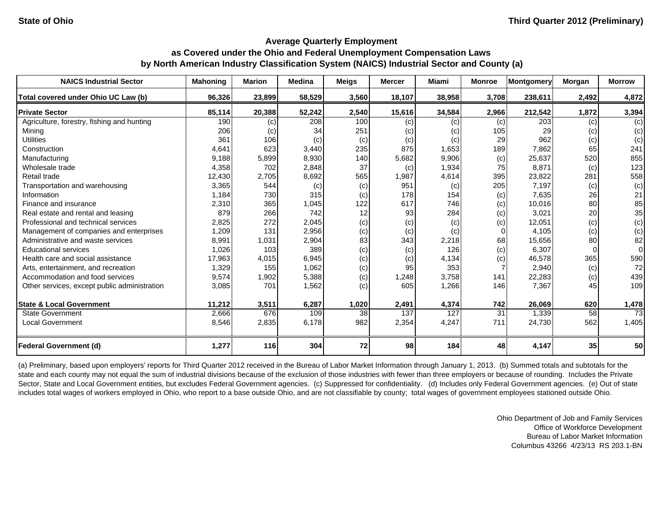| <b>NAICS Industrial Sector</b>               | <b>Mahoning</b> | <b>Marion</b> | <b>Medina</b> | <b>Meigs</b> | <b>Mercer</b> | Miami  | <b>Monroe</b> | Montgomery | Morgan | <b>Morrow</b> |
|----------------------------------------------|-----------------|---------------|---------------|--------------|---------------|--------|---------------|------------|--------|---------------|
| Total covered under Ohio UC Law (b)          | 96.326          | 23,899        | 58,529        | 3,560        | 18,107        | 38,958 | 3,708         | 238,611    | 2,492  | 4,872         |
| <b>Private Sector</b>                        | 85,114          | 20,388        | 52,242        | 2,540        | 15,616        | 34,584 | 2,966         | 212,542    | 1,872  | 3,394         |
| Agriculture, forestry, fishing and hunting   | 190             | (c)           | 208           | 100          | (c)           | (c)    | (c)           | 203        | (c)    | (c)           |
| Mining                                       | 206             | (c)           | 34            | 251          | (c)           | (c)    | 105           | 29         | (c)    | (c)           |
| <b>Utilities</b>                             | 361             | 106           | (c)           | (c)          | (c)           | (c)    | 29            | 962        | (c)    | (c)           |
| Construction                                 | 4,641           | 623           | 3,440         | 235          | 875           | 1,653  | 189           | 7,862      | 65     | 241           |
| Manufacturing                                | 9,188           | 5,899         | 8,930         | 140          | 5,682         | 9,906  | (c)           | 25,637     | 520    | 855           |
| Wholesale trade                              | 4,358           | 702           | 2,848         | 37           | (c)           | 1,934  | 75            | 8,871      | (c)    | 123           |
| Retail trade                                 | 12,430          | 2,705         | 8,692         | 565          | 1,987         | 4,614  | 395           | 23,822     | 281    | 558           |
| Transportation and warehousing               | 3,365           | 544           | (c)           | (c)          | 951           | (c)    | 205           | 7,197      | (c)    | (c)           |
| Information                                  | 1,184           | 730           | 315           | (c)          | 178           | 154    | (c)           | 7,635      | 26     | 21            |
| Finance and insurance                        | 2,310           | 365           | 1,045         | 122          | 617           | 746    | (c)           | 10,016     | 80     | 85            |
| Real estate and rental and leasing           | 879             | 266           | 742           | 12           | 93            | 284    | (c)           | 3,021      | 20     | 35            |
| Professional and technical services          | 2,825           | 272           | 2,045         | (c)          | (c)           | (c)    | (c)           | 12,051     | (c)    | (c)           |
| Management of companies and enterprises      | 1,209           | 131           | 2,956         | (c)          | (c)           | (c)    | U             | 4,105      | (c)    | (c)           |
| Administrative and waste services            | 8,991           | 1,031         | 2,904         | 83           | 343           | 2,218  | 68            | 15,656     | 80     | 82            |
| <b>Educational services</b>                  | 1,026           | 103           | 389           | (c)          | (c)           | 126    | (c)           | 6,307      |        | 0             |
| Health care and social assistance            | 17,963          | 4,015         | 6,945         | (c)          | (c)           | 4,134  | (c)           | 46,578     | 365    | 590           |
| Arts, entertainment, and recreation          | 1,329           | 155           | 1,062         | (c)          | 95            | 353    |               | 2,940      | (c)    | 72            |
| Accommodation and food services              | 9,574           | 1,902         | 5,388         | (c)          | 1,248         | 3,758  | 141           | 22,283     | (c)    | 439           |
| Other services, except public administration | 3,085           | 701           | 1,562         | (c)          | 605           | 1,266  | 146           | 7,367      | 45     | 109           |
| <b>State &amp; Local Government</b>          | 11,212          | 3,511         | 6,287         | 1,020        | 2,491         | 4,374  | 742           | 26,069     | 620    | 1,478         |
| <b>State Government</b>                      | 2,666           | 676           | 109           | 38           | 137           | 127    | 31            | 1,339      | 58     | 73            |
| <b>Local Government</b>                      | 8,546           | 2,835         | 6,178         | 982          | 2,354         | 4,247  | 711           | 24,730     | 562    | 1,405         |
| <b>Federal Government (d)</b>                | 1,277           | 116           | 304           | 72           | 98            | 184    | 48            | 4,147      | 35     | 50            |

(a) Preliminary, based upon employers' reports for Third Quarter 2012 received in the Bureau of Labor Market Information through January 1, 2013. (b) Summed totals and subtotals for the state and each county may not equal the sum of industrial divisions because of the exclusion of those industries with fewer than three employers or because of rounding. Includes the Private Sector, State and Local Government entities, but excludes Federal Government agencies. (c) Suppressed for confidentiality. (d) Includes only Federal Government agencies. (e) Out of state includes total wages of workers employed in Ohio, who report to a base outside Ohio, and are not classifiable by county; total wages of government employees stationed outside Ohio.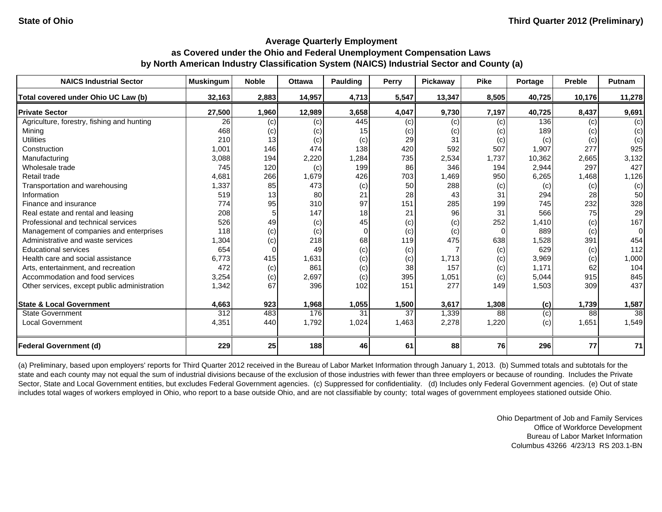| <b>NAICS Industrial Sector</b>               | <b>Muskingum</b> | <b>Noble</b> | <b>Ottawa</b> | Paulding | Perry | Pickaway | <b>Pike</b> | Portage | <b>Preble</b> | <b>Putnam</b> |
|----------------------------------------------|------------------|--------------|---------------|----------|-------|----------|-------------|---------|---------------|---------------|
| Total covered under Ohio UC Law (b)          | 32,163           | 2,883        | 14,957        | 4,713    | 5,547 | 13,347   | 8,505       | 40,725  | 10,176        | 11,278        |
| <b>Private Sector</b>                        | 27,500           | 1,960        | 12,989        | 3,658    | 4,047 | 9,730    | 7,197       | 40,725  | 8,437         | 9,691         |
| Agriculture, forestry, fishing and hunting   | 26               | (c)          | (c)           | 445      | (c)   | (c)      | (c)         | 136     | (c)           | (c)           |
| Mining                                       | 468              | (c)          | (c)           | 15       | (c)   | (c)      | (c)         | 189     | (c)           | (c)           |
| <b>Utilities</b>                             | 210              | 13           | (c)           | (c)      | 29    | 31       | (c)         | (c)     | (c)           | (c)           |
| Construction                                 | 1,001            | 146          | 474           | 138      | 420   | 592      | 507         | 1,907   | 277           | 925           |
| Manufacturing                                | 3,088            | 194          | 2,220         | 1,284    | 735   | 2,534    | 1,737       | 10,362  | 2,665         | 3,132         |
| Wholesale trade                              | 745              | 120          | (c)           | 199      | 86    | 346      | 194         | 2,944   | 297           | 427           |
| Retail trade                                 | 4,681            | 266          | 1,679         | 426      | 703   | 1,469    | 950         | 6,265   | 1,468         | 1,126         |
| Transportation and warehousing               | 1,337            | 85           | 473           | (c)      | 50    | 288      | (c)         | (c)     | (c)           | (c)           |
| Information                                  | 519              | 13           | 80            | 21       | 28    | 43       | 31          | 294     | 28            | 50            |
| Finance and insurance                        | 774              | 95           | 310           | 97       | 151   | 285      | 199         | 745     | 232           | 328           |
| Real estate and rental and leasing           | 208              |              | 147           | 18       | 21    | 96       | 31          | 566     | 75            | 29            |
| Professional and technical services          | 526              | 49           | (c)           | 45       | (c)   | (c)      | 252         | 1,410   | (c)           | 167           |
| Management of companies and enterprises      | 118              | (c)          | (c)           | $\Omega$ | (c)   | (c)      | $\Omega$    | 889     | (c)           | 0             |
| Administrative and waste services            | 1,304            | (c)          | 218           | 68       | 119   | 475      | 638         | 1,528   | 391           | 454           |
| <b>Educational services</b>                  | 654              |              | 49            | (c)      | (c)   |          | (c)         | 629     | (c)           | 112           |
| Health care and social assistance            | 6.773            | 415          | 1,631         | (c)      | (c)   | 1,713    | (c)         | 3,969   | (c)           | 1,000         |
| Arts, entertainment, and recreation          | 472              | (c)          | 861           | (c)      | 38    | 157      | (c)         | 1,171   | 62            | 104           |
| Accommodation and food services              | 3,254            | (c)          | 2,697         | (c)      | 395   | 1,051    | (c)         | 5,044   | 915           | 845           |
| Other services, except public administration | 1,342            | 67           | 396           | 102      | 151   | 277      | 149         | 1,503   | 309           | 437           |
| <b>State &amp; Local Government</b>          | 4,663            | 923          | 1,968         | 1,055    | 1,500 | 3,617    | 1,308       | (c)     | 1,739         | 1,587         |
| <b>State Government</b>                      | 312              | 483          | 176           | 31       | 37    | 1,339    | 88          | (c)     | 88            | 38            |
| Local Government                             | 4,351            | 440          | 1,792         | 1,024    | 1,463 | 2,278    | 1,220       | (c)     | 1,651         | 1,549         |
| <b>Federal Government (d)</b>                | 229              | 25           | 188           | 46       | 61    | 88       | 76          | 296     | 77            | 71            |

(a) Preliminary, based upon employers' reports for Third Quarter 2012 received in the Bureau of Labor Market Information through January 1, 2013. (b) Summed totals and subtotals for the state and each county may not equal the sum of industrial divisions because of the exclusion of those industries with fewer than three employers or because of rounding. Includes the Private Sector, State and Local Government entities, but excludes Federal Government agencies. (c) Suppressed for confidentiality. (d) Includes only Federal Government agencies. (e) Out of state includes total wages of workers employed in Ohio, who report to a base outside Ohio, and are not classifiable by county; total wages of government employees stationed outside Ohio.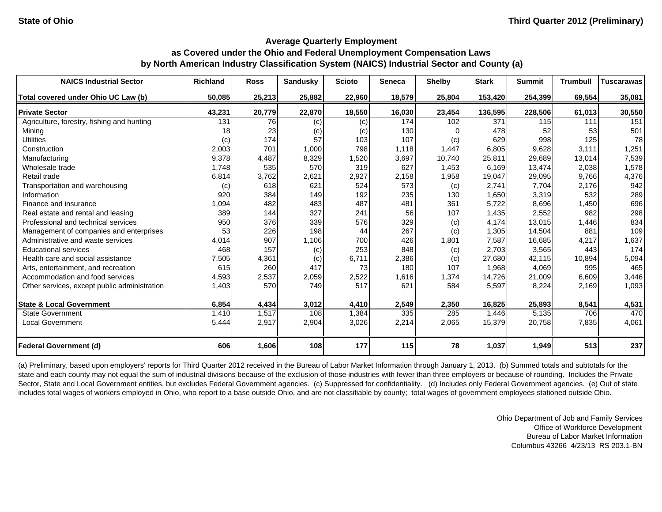| <b>NAICS Industrial Sector</b>               | <b>Richland</b> | <b>Ross</b> | <b>Sandusky</b> | <b>Scioto</b> | <b>Seneca</b> | <b>Shelby</b> | <b>Stark</b> | <b>Summit</b> | <b>Trumbull</b> | <b>Tuscarawas</b> |
|----------------------------------------------|-----------------|-------------|-----------------|---------------|---------------|---------------|--------------|---------------|-----------------|-------------------|
| Total covered under Ohio UC Law (b)          | 50,085          | 25,213      | 25,882          | 22,960        | 18,579        | 25,804        | 153,420      | 254,399       | 69,554          | 35,081            |
| <b>Private Sector</b>                        | 43,231          | 20,779      | 22,870          | 18,550        | 16,030        | 23,454        | 136,595      | 228,506       | 61,013          | 30,550            |
| Agriculture, forestry, fishing and hunting   | 131             | 76          | (c)             | (c)           | 174           | 102           | 371          | 115           | 111             | 151               |
| Mining                                       | 18              | 23          | (c)             | (c)           | 130           |               | 478          | 52            | 53              | 501               |
| <b>Utilities</b>                             | (c)             | 174         | 57              | 103           | 107           | (c)           | 629          | 998           | 125             | 78                |
| Construction                                 | 2,003           | 701         | 1,000           | 798           | 1,118         | 1,447         | 6,805        | 9,628         | 3,111           | 1,251             |
| Manufacturing                                | 9,378           | 4,487       | 8,329           | 1,520         | 3,697         | 10,740        | 25,811       | 29,689        | 13,014          | 7,539             |
| Wholesale trade                              | 1,748           | 535         | 570             | 319           | 627           | 1,453         | 6,169        | 13,474        | 2,038           | 1,578             |
| Retail trade                                 | 6,814           | 3,762       | 2,621           | 2,927         | 2,158         | 1,958         | 19,047       | 29,095        | 9,766           | 4,376             |
| Transportation and warehousing               | (c)             | 618         | 621             | 524           | 573           | (c)           | 2,741        | 7,704         | 2,176           | 942               |
| Information                                  | 920             | 384         | 149             | 192           | 235           | 130           | 1,650        | 3,319         | 532             | 289               |
| Finance and insurance                        | 1,094           | 482         | 483             | 487           | 481           | 361           | 5,722        | 8,696         | 1,450           | 696               |
| Real estate and rental and leasing           | 389             | 144         | 327             | 241           | 56            | 107           | 1,435        | 2,552         | 982             | 298               |
| Professional and technical services          | 950             | 376         | 339             | 576           | 329           | (c)           | 4,174        | 13,015        | 1,446           | 834               |
| Management of companies and enterprises      | 53              | 226         | 198             | 44            | 267           | (c)           | 1,305        | 14,504        | 881             | 109               |
| Administrative and waste services            | 4,014           | 907         | 1,106           | 700           | 426           | 1,801         | 7,587        | 16,685        | 4,217           | 1,637             |
| <b>Educational services</b>                  | 468             | 157         | (c)             | 253           | 848           | (c)           | 2,703        | 3,565         | 443             | 174               |
| Health care and social assistance            | 7,505           | 4,361       | (c)             | 6,711         | 2,386         | (c)           | 27,680       | 42,115        | 10,894          | 5,094             |
| Arts, entertainment, and recreation          | 615             | 260         | 417             | 73            | 180           | 107           | 1,968        | 4,069         | 995             | 465               |
| Accommodation and food services              | 4,593           | 2,537       | 2,059           | 2,522         | 1,616         | 1,374         | 14,726       | 21,009        | 6,609           | 3,446             |
| Other services, except public administration | 1,403           | 570         | 749             | 517           | 621           | 584           | 5,597        | 8,224         | 2,169           | 1,093             |
| <b>State &amp; Local Government</b>          | 6,854           | 4,434       | 3,012           | 4,410         | 2,549         | 2,350         | 16,825       | 25,893        | 8,541           | 4,531             |
| <b>State Government</b>                      | 1,410           | 1,517       | 108             | 1,384         | 335           | 285           | 1,446        | 5,135         | 706             | 470               |
| <b>Local Government</b>                      | 5,444           | 2,917       | 2,904           | 3,026         | 2,214         | 2,065         | 15,379       | 20,758        | 7,835           | 4,061             |
| <b>Federal Government (d)</b>                | 606             | 1,606       | 108             | 177           | 115           | 78            | 1,037        | 1,949         | 513             | 237               |

(a) Preliminary, based upon employers' reports for Third Quarter 2012 received in the Bureau of Labor Market Information through January 1, 2013. (b) Summed totals and subtotals for the state and each county may not equal the sum of industrial divisions because of the exclusion of those industries with fewer than three employers or because of rounding. Includes the Private Sector, State and Local Government entities, but excludes Federal Government agencies. (c) Suppressed for confidentiality. (d) Includes only Federal Government agencies. (e) Out of state includes total wages of workers employed in Ohio, who report to a base outside Ohio, and are not classifiable by county; total wages of government employees stationed outside Ohio.